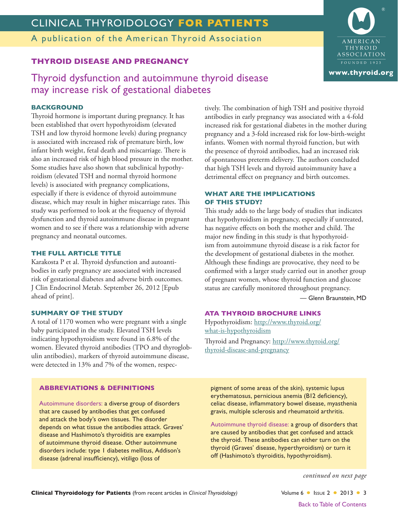## CLINICAL THYROIDOLOGY **FOR PATIENTS**

A publication of the American Thyroid Association

### **THYROID DISEASE AND PREGNANCY**

Thyroid dysfunction and autoimmune thyroid disease may increase risk of gestational diabetes

### **BACKGROUND**

Thyroid hormone is important during pregnancy. It has been established that overt hypothyroidism (elevated TSH and low thyroid hormone levels) during pregnancy is associated with increased risk of premature birth, low infant birth weight, fetal death and miscarriage. There is also an increased risk of high blood pressure in the mother. Some studies have also shown that subclinical hypothyroidism (elevated TSH and normal thyroid hormone levels) is associated with pregnancy complications, especially if there is evidence of thyroid autoimmune disease, which may result in higher miscarriage rates. This study was performed to look at the frequency of thyroid dysfunction and thyroid autoimmune disease in pregnant women and to see if there was a relationship with adverse pregnancy and neonatal outcomes.

#### **THE FULL ARTICLE TITLE**

Karakosta P et al. Thyroid dysfunction and autoantibodies in early pregnancy are associated with increased risk of gestational diabetes and adverse birth outcomes. J Clin Endocrinol Metab. September 26, 2012 [Epub ahead of print].

#### **SUMMARY OF THE STUDY**

A total of 1170 women who were pregnant with a single baby participated in the study. Elevated TSH levels indicating hypothyroidism were found in 6.8% of the women. Elevated thyroid antibodies (TPO and thyroglobulin antibodies), markers of thyroid autoimmune disease, were detected in 13% and 7% of the women, respec-

Autoimmune disorders: a diverse group of disorders that are caused by antibodies that get confused and attack the body's own tissues. The disorder depends on what tissue the antibodies attack. Graves' disease and Hashimoto's thyroiditis are examples of autoimmune thyroid disease. Other autoimmune disorders include: type 1 diabetes mellitus, Addison's

**ABBREVIATIONS & DEFINITIONS**

disease (adrenal insufficiency), vitiligo (loss of

tively. The combination of high TSH and positive thyroid antibodies in early pregnancy was associated with a 4-fold increased risk for gestational diabetes in the mother during pregnancy and a 3-fold increased risk for low-birth-weight infants. Women with normal thyroid function, but with the presence of thyroid antibodies, had an increased risk of spontaneous preterm delivery. The authors concluded that high TSH levels and thyroid autoimmunity have a detrimental effect on pregnancy and birth outcomes.

#### **WHAT ARE THE IMPLICATIONS OF THIS STUDY?**

This study adds to the large body of studies that indicates that hypothyroidism in pregnancy, especially if untreated, has negative effects on both the mother and child. The major new finding in this study is that hypothyroidism from autoimmune thyroid disease is a risk factor for the development of gestational diabetes in the mother. Although these findings are provocative, they need to be confirmed with a larger study carried out in another group of pregnant women, whose thyroid function and glucose status are carefully monitored throughout pregnancy.

— Glenn Braunstein, MD

#### **ATA THYROID BROCHURE LINKS**

Hypothyroidism: [http://www.thyroid.org/](http://www.thyroid.org/what-is-hypothyroidism) [what-is-hypothyroidism](http://www.thyroid.org/what-is-hypothyroidism) Thyroid and Pregnancy: [http://www.thyroid.org/](http://www.thyroid.org/thyroid-disease-and-pregnancy) [thyroid-disease-and-pregnancy](http://www.thyroid.org/thyroid-disease-and-pregnancy)

pigment of some areas of the skin), systemic lupus erythematosus, pernicious anemia (B12 deficiency), celiac disease, inflammatory bowel disease, myasthenia gravis, multiple sclerosis and rheumatoid arthritis.

Autoimmune thyroid disease: a group of disorders that are caused by antibodies that get confused and attack the thyroid. These antibodies can either turn on the thyroid (Graves' disease, hyperthyroidism) or turn it off (Hashimoto's thyroiditis, hypothyroidism).

*continued on next page*